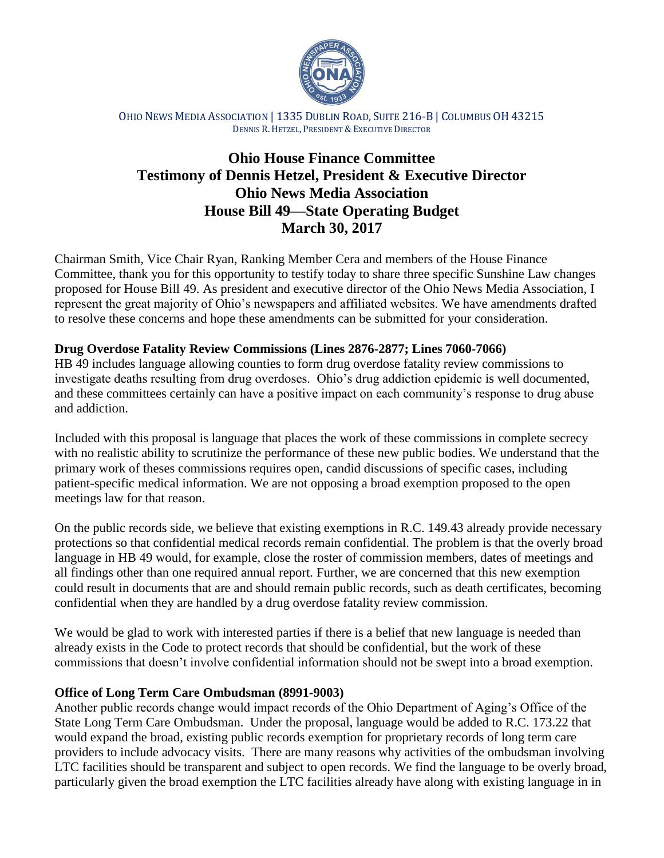

OHIO NEWS MEDIA ASSOCIATION | 1335 DUBLIN ROAD, SUITE 216-B | COLUMBUS OH 43215 DENNIS R.HETZEL, PRESIDENT & EXECUTIVE DIRECTOR

# **Ohio House Finance Committee Testimony of Dennis Hetzel, President & Executive Director Ohio News Media Association House Bill 49—State Operating Budget March 30, 2017**

Chairman Smith, Vice Chair Ryan, Ranking Member Cera and members of the House Finance Committee, thank you for this opportunity to testify today to share three specific Sunshine Law changes proposed for House Bill 49. As president and executive director of the Ohio News Media Association, I represent the great majority of Ohio's newspapers and affiliated websites. We have amendments drafted to resolve these concerns and hope these amendments can be submitted for your consideration.

# **Drug Overdose Fatality Review Commissions (Lines 2876-2877; Lines 7060-7066)**

HB 49 includes language allowing counties to form drug overdose fatality review commissions to investigate deaths resulting from drug overdoses. Ohio's drug addiction epidemic is well documented, and these committees certainly can have a positive impact on each community's response to drug abuse and addiction.

Included with this proposal is language that places the work of these commissions in complete secrecy with no realistic ability to scrutinize the performance of these new public bodies. We understand that the primary work of theses commissions requires open, candid discussions of specific cases, including patient-specific medical information. We are not opposing a broad exemption proposed to the open meetings law for that reason.

On the public records side, we believe that existing exemptions in R.C. 149.43 already provide necessary protections so that confidential medical records remain confidential. The problem is that the overly broad language in HB 49 would, for example, close the roster of commission members, dates of meetings and all findings other than one required annual report. Further, we are concerned that this new exemption could result in documents that are and should remain public records, such as death certificates, becoming confidential when they are handled by a drug overdose fatality review commission.

We would be glad to work with interested parties if there is a belief that new language is needed than already exists in the Code to protect records that should be confidential, but the work of these commissions that doesn't involve confidential information should not be swept into a broad exemption.

### **Office of Long Term Care Ombudsman (8991-9003)**

Another public records change would impact records of the Ohio Department of Aging's Office of the State Long Term Care Ombudsman. Under the proposal, language would be added to R.C. 173.22 that would expand the broad, existing public records exemption for proprietary records of long term care providers to include advocacy visits. There are many reasons why activities of the ombudsman involving LTC facilities should be transparent and subject to open records. We find the language to be overly broad, particularly given the broad exemption the LTC facilities already have along with existing language in in